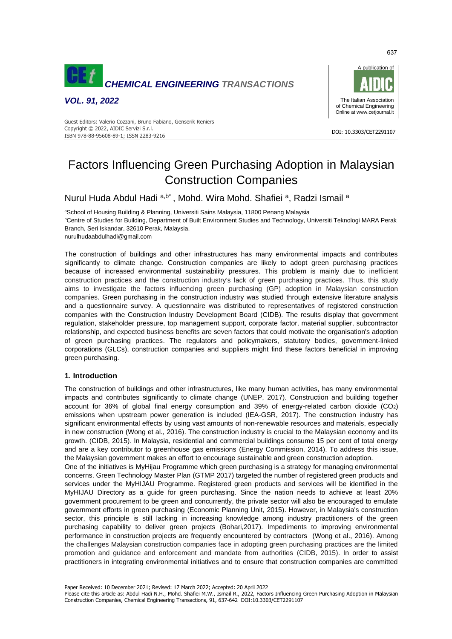

*VOL. 91, 2022*



#### DOI: 10.3303/CET2291107 ISBN 978-88-95608-89-1; ISSN 2283-9216 Guest Editors: Valerio Cozzani, Bruno Fabiano, Genserik Reniers Copyright © 2022, AIDIC Servizi S.r.l.

# Factors Influencing Green Purchasing Adoption in Malaysian Construction Companies

Nurul Huda Abdul Hadi a,b\*, Mohd. Wira Mohd. Shafiei a, Radzi Ismail a

aSchool of Housing Building & Planning, Universiti Sains Malaysia, 11800 Penang Malaysia **bCentre of Studies for Building, Department of Built Environment Studies and Technology, Universiti Teknologi MARA Perak** Branch, Seri Iskandar, 32610 Perak, Malaysia. nurulhudaabdulhadi@gmail.com

The construction of buildings and other infrastructures has many environmental impacts and contributes significantly to climate change. Construction companies are likely to adopt green purchasing practices because of increased environmental sustainability pressures. This problem is mainly due to inefficient construction practices and the construction industry's lack of green purchasing practices. Thus, this study aims to investigate the factors influencing green purchasing (GP) adoption in Malaysian construction companies. Green purchasing in the construction industry was studied through extensive literature analysis and a questionnaire survey. A questionnaire was distributed to representatives of registered construction companies with the Construction Industry Development Board (CIDB). The results display that government regulation, stakeholder pressure, top management support, corporate factor, material supplier, subcontractor relationship, and expected business benefits are seven factors that could motivate the organisation's adoption of green purchasing practices. The regulators and policymakers, statutory bodies, government-linked corporations (GLCs), construction companies and suppliers might find these factors beneficial in improving green purchasing.

# **1. Introduction**

The construction of buildings and other infrastructures, like many human activities, has many environmental impacts and contributes significantly to climate change (UNEP, 2017). Construction and building together account for 36% of global final energy consumption and 39% of energy-related carbon dioxide (CO2) emissions when upstream power generation is included (IEA-GSR, 2017). The construction industry has significant environmental effects by using vast amounts of non-renewable resources and materials, especially in new construction (Wong et al., 2016). The construction industry is crucial to the Malaysian economy and its growth. (CIDB, 2015). In Malaysia, residential and commercial buildings consume 15 per cent of total energy and are a key contributor to greenhouse gas emissions (Energy Commission, 2014). To address this issue, the Malaysian government makes an effort to encourage sustainable and green construction adoption.

One of the initiatives is MyHijau Programme which green purchasing is a strategy for managing environmental concerns. Green Technology Master Plan (GTMP 2017) targeted the number of registered green products and services under the MyHIJAU Programme. Registered green products and services will be identified in the MyHIJAU Directory as a guide for green purchasing. Since the nation needs to achieve at least 20% government procurement to be green and concurrently, the private sector will also be encouraged to emulate government efforts in green purchasing (Economic Planning Unit, 2015). However, in Malaysia's construction sector, this principle is still lacking in increasing knowledge among industry practitioners of the green purchasing capability to deliver green projects (Bohari,2017). Impediments to improving environmental performance in construction projects are frequently encountered by contractors (Wong et al., 2016). Among the challenges Malaysian construction companies face in adopting green purchasing practices are the limited promotion and guidance and enforcement and mandate from authorities (CIDB, 2015). In order to assist practitioners in integrating environmental initiatives and to ensure that construction companies are committed

637

Please cite this article as: Abdul Hadi N.H., Mohd. Shafiei M.W., Ismail R., 2022, Factors Influencing Green Purchasing Adoption in Malaysian Construction Companies, Chemical Engineering Transactions, 91, 637-642 DOI:10.3303/CET2291107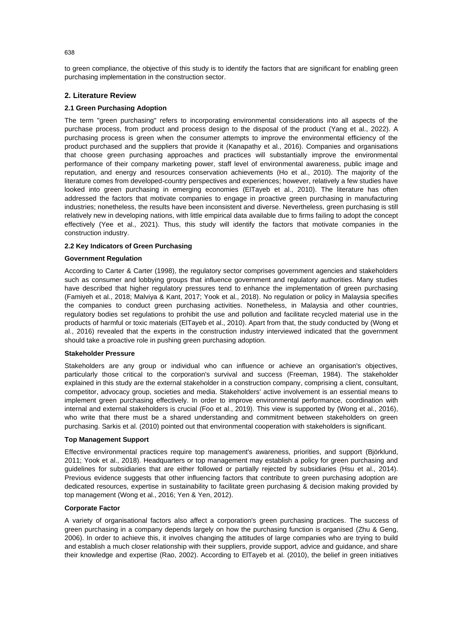to green compliance, the objective of this study is to identify the factors that are significant for enabling green purchasing implementation in the construction sector.

# **2. Literature Review**

# **2.1 Green Purchasing Adoption**

The term "green purchasing" refers to incorporating environmental considerations into all aspects of the purchase process, from product and process design to the disposal of the product (Yang et al., 2022). A purchasing process is green when the consumer attempts to improve the environmental efficiency of the product purchased and the suppliers that provide it (Kanapathy et al., 2016). Companies and organisations that choose green purchasing approaches and practices will substantially improve the environmental performance of their company marketing power, staff level of environmental awareness, public image and reputation, and energy and resources conservation achievements (Ho et al., 2010). The majority of the literature comes from developed-country perspectives and experiences; however, relatively a few studies have looked into green purchasing in emerging economies (ElTayeb et al., 2010). The literature has often addressed the factors that motivate companies to engage in proactive green purchasing in manufacturing industries; nonetheless, the results have been inconsistent and diverse. Nevertheless, green purchasing is still relatively new in developing nations, with little empirical data available due to firms failing to adopt the concept effectively (Yee et al., 2021). Thus, this study will identify the factors that motivate companies in the construction industry.

# **2.2 Key Indicators of Green Purchasing**

# **Government Regulation**

According to Carter & Carter (1998), the regulatory sector comprises government agencies and stakeholders such as consumer and lobbying groups that influence government and regulatory authorities. Many studies have described that higher regulatory pressures tend to enhance the implementation of green purchasing (Famiyeh et al., 2018; Malviya & Kant, 2017; Yook et al., 2018). No regulation or policy in Malaysia specifies the companies to conduct green purchasing activities. Nonetheless, in Malaysia and other countries, regulatory bodies set regulations to prohibit the use and pollution and facilitate recycled material use in the products of harmful or toxic materials (ElTayeb et al., 2010). Apart from that, the study conducted by (Wong et al., 2016) revealed that the experts in the construction industry interviewed indicated that the government should take a proactive role in pushing green purchasing adoption.

# **Stakeholder Pressure**

Stakeholders are any group or individual who can influence or achieve an organisation's objectives, particularly those critical to the corporation's survival and success (Freeman, 1984). The stakeholder explained in this study are the external stakeholder in a construction company, comprising a client, consultant, competitor, advocacy group, societies and media. Stakeholders' active involvement is an essential means to implement green purchasing effectively. In order to improve environmental performance, coordination with internal and external stakeholders is crucial (Foo et al., 2019). This view is supported by (Wong et al., 2016), who write that there must be a shared understanding and commitment between stakeholders on green purchasing. Sarkis et al. (2010) pointed out that environmental cooperation with stakeholders is significant.

# **Top Management Support**

Effective environmental practices require top management's awareness, priorities, and support (Björklund, 2011; Yook et al., 2018). Headquarters or top management may establish a policy for green purchasing and guidelines for subsidiaries that are either followed or partially rejected by subsidiaries (Hsu et al., 2014). Previous evidence suggests that other influencing factors that contribute to green purchasing adoption are dedicated resources, expertise in sustainability to facilitate green purchasing & decision making provided by top management (Wong et al., 2016; Yen & Yen, 2012).

# **Corporate Factor**

A variety of organisational factors also affect a corporation's green purchasing practices. The success of green purchasing in a company depends largely on how the purchasing function is organised (Zhu & Geng, 2006). In order to achieve this, it involves changing the attitudes of large companies who are trying to build and establish a much closer relationship with their suppliers, provide support, advice and guidance, and share their knowledge and expertise (Rao, 2002). According to ElTayeb et al. (2010), the belief in green initiatives

638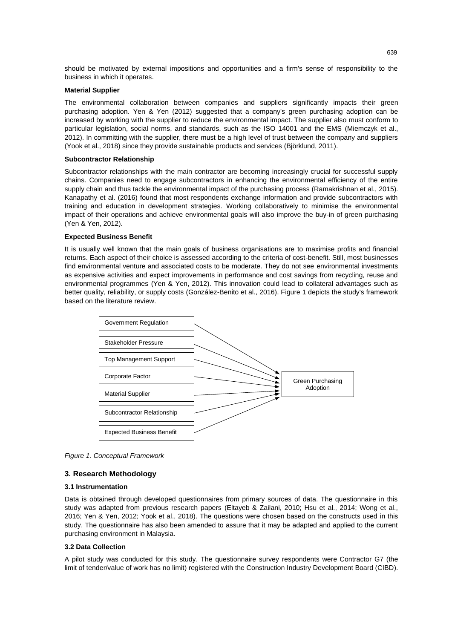should be motivated by external impositions and opportunities and a firm's sense of responsibility to the business in which it operates.

#### **Material Supplier**

The environmental collaboration between companies and suppliers significantly impacts their green purchasing adoption. Yen & Yen (2012) suggested that a company's green purchasing adoption can be increased by working with the supplier to reduce the environmental impact. The supplier also must conform to particular legislation, social norms, and standards, such as the ISO 14001 and the EMS (Miemczyk et al., 2012). In committing with the supplier, there must be a high level of trust between the company and suppliers (Yook et al., 2018) since they provide sustainable products and services (Björklund, 2011).

#### **Subcontractor Relationship**

Subcontractor relationships with the main contractor are becoming increasingly crucial for successful supply chains. Companies need to engage subcontractors in enhancing the environmental efficiency of the entire supply chain and thus tackle the environmental impact of the purchasing process (Ramakrishnan et al., 2015). Kanapathy et al. (2016) found that most respondents exchange information and provide subcontractors with training and education in development strategies. Working collaboratively to minimise the environmental impact of their operations and achieve environmental goals will also improve the buy-in of green purchasing (Yen & Yen, 2012).

# **Expected Business Benefit**

It is usually well known that the main goals of business organisations are to maximise profits and financial returns. Each aspect of their choice is assessed according to the criteria of cost-benefit. Still, most businesses find environmental venture and associated costs to be moderate. They do not see environmental investments as expensive activities and expect improvements in performance and cost savings from recycling, reuse and environmental programmes (Yen & Yen, 2012). This innovation could lead to collateral advantages such as better quality, reliability, or supply costs (González-Benito et al., 2016). Figure 1 depicts the study's framework based on the literature review.



*Figure 1. Conceptual Framework*

# **3. Research Methodology**

#### **3.1 Instrumentation**

Data is obtained through developed questionnaires from primary sources of data. The questionnaire in this study was adapted from previous research papers (Eltayeb & Zailani, 2010; Hsu et al., 2014; Wong et al., 2016; Yen & Yen, 2012; Yook et al., 2018). The questions were chosen based on the constructs used in this study. The questionnaire has also been amended to assure that it may be adapted and applied to the current purchasing environment in Malaysia.

### **3.2 Data Collection**

A pilot study was conducted for this study. The questionnaire survey respondents were Contractor G7 (the limit of tender/value of work has no limit) registered with the Construction Industry Development Board (CIBD).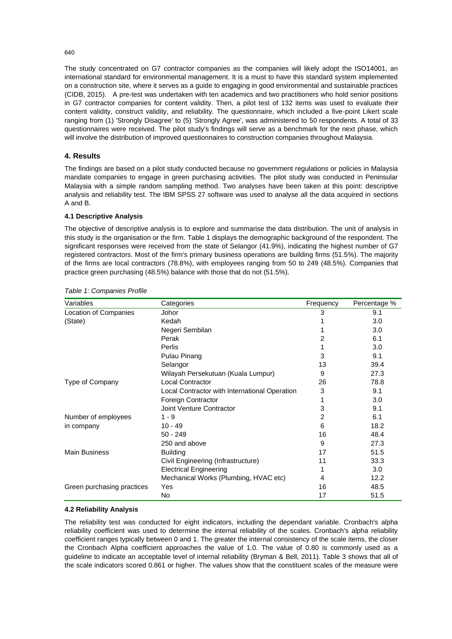The study concentrated on G7 contractor companies as the companies will likely adopt the ISO14001, an international standard for environmental management. It is a must to have this standard system implemented on a construction site, where it serves as a guide to engaging in good environmental and sustainable practices (CIDB, 2015). A pre-test was undertaken with ten academics and two practitioners who hold senior positions in G7 contractor companies for content validity. Then, a pilot test of 132 items was used to evaluate their content validity, construct validity, and reliability. The questionnaire, which included a five-point Likert scale ranging from (1) 'Strongly Disagree' to (5) 'Strongly Agree', was administered to 50 respondents. A total of 33 questionnaires were received. The pilot study's findings will serve as a benchmark for the next phase, which will involve the distribution of improved questionnaires to construction companies throughout Malaysia.

# **4. Results**

The findings are based on a pilot study conducted because no government regulations or policies in Malaysia mandate companies to engage in green purchasing activities. The pilot study was conducted in Peninsular Malaysia with a simple random sampling method. Two analyses have been taken at this point: descriptive analysis and reliability test. The IBM SPSS 27 software was used to analyse all the data acquired in sections A and B.

# **4.1 Descriptive Analysis**

The objective of descriptive analysis is to explore and summarise the data distribution. The unit of analysis in this study is the organisation or the firm. Table 1 displays the demographic background of the respondent. The significant responses were received from the state of Selangor (41.9%), indicating the highest number of G7 registered contractors. Most of the firm's primary business operations are building firms (51.5%). The majority of the firms are local contractors (78.8%), with employees ranging from 50 to 249 (48.5%). Companies that practice green purchasing (48.5%) balance with those that do not (51.5%).

| Variables                  | Categories                                    | Frequency | Percentage % |
|----------------------------|-----------------------------------------------|-----------|--------------|
| Location of Companies      | Johor                                         | 3         | 9.1          |
| (State)                    | Kedah                                         |           | 3.0          |
|                            | Negeri Sembilan                               |           | 3.0          |
|                            | Perak                                         | 2         | 6.1          |
|                            | Perlis                                        |           | 3.0          |
|                            | Pulau Pinang                                  | 3         | 9.1          |
|                            | Selangor                                      | 13        | 39.4         |
|                            | Wilayah Persekutuan (Kuala Lumpur)            | 9         | 27.3         |
| Type of Company            | <b>Local Contractor</b>                       | 26        | 78.8         |
|                            | Local Contractor with International Operation | 3         | 9.1          |
|                            | Foreign Contractor                            |           | 3.0          |
|                            | Joint Venture Contractor                      | 3         | 9.1          |
| Number of employees        | $1 - 9$                                       | 2         | 6.1          |
| in company                 | $10 - 49$                                     | 6         | 18.2         |
|                            | $50 - 249$                                    | 16        | 48.4         |
|                            | 250 and above                                 | 9         | 27.3         |
| <b>Main Business</b>       | <b>Building</b>                               | 17        | 51.5         |
|                            | Civil Engineering (Infrastructure)            | 11        | 33.3         |
|                            | <b>Electrical Engineering</b>                 |           | 3.0          |
|                            | Mechanical Works (Plumbing, HVAC etc)         | 4         | 12.2         |
| Green purchasing practices | Yes                                           | 16        | 48.5         |
|                            | No                                            | 17        | 51.5         |

|  | Table 1: Companies Profile |  |
|--|----------------------------|--|
|--|----------------------------|--|

# **4.2 Reliability Analysis**

The reliability test was conducted for eight indicators, including the dependant variable. Cronbach's alpha reliability coefficient was used to determine the internal reliability of the scales. Cronbach's alpha reliability coefficient ranges typically between 0 and 1. The greater the internal consistency of the scale items, the closer the Cronbach Alpha coefficient approaches the value of 1.0. The value of 0.80 is commonly used as a guideline to indicate an acceptable level of internal reliability (Bryman & Bell, 2011). Table 3 shows that all of the scale indicators scored 0.861 or higher. The values show that the constituent scales of the measure were

640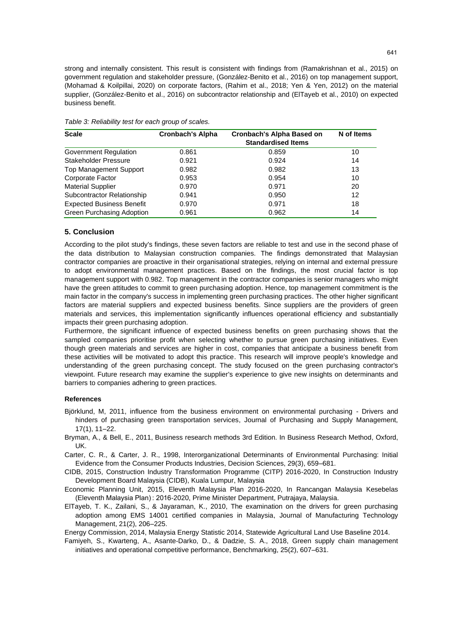strong and internally consistent. This result is consistent with findings from (Ramakrishnan et al., 2015) on government regulation and stakeholder pressure, (González-Benito et al., 2016) on top management support, (Mohamad & Koilpillai, 2020) on corporate factors, (Rahim et al., 2018; Yen & Yen, 2012) on the material supplier, (González-Benito et al., 2016) on subcontractor relationship and (ElTayeb et al., 2010) on expected business benefit.

| <b>Scale</b>                     | <b>Cronbach's Alpha</b> | <b>Cronbach's Alpha Based on</b><br><b>Standardised Items</b> | N of Items |
|----------------------------------|-------------------------|---------------------------------------------------------------|------------|
| Government Regulation            | 0.861                   | 0.859                                                         | 10         |
| <b>Stakeholder Pressure</b>      | 0.921                   | 0.924                                                         | 14         |
| <b>Top Management Support</b>    | 0.982                   | 0.982                                                         | 13         |
| Corporate Factor                 | 0.953                   | 0.954                                                         | 10         |
| <b>Material Supplier</b>         | 0.970                   | 0.971                                                         | 20         |
| Subcontractor Relationship       | 0.941                   | 0.950                                                         | 12         |
| <b>Expected Business Benefit</b> | 0.970                   | 0.971                                                         | 18         |
| Green Purchasing Adoption        | 0.961                   | 0.962                                                         | 14         |

*Table 3: Reliability test for each group of scales.*

# **5. Conclusion**

According to the pilot study's findings, these seven factors are reliable to test and use in the second phase of the data distribution to Malaysian construction companies. The findings demonstrated that Malaysian contractor companies are proactive in their organisational strategies, relying on internal and external pressure to adopt environmental management practices. Based on the findings, the most crucial factor is top management support with 0.982. Top management in the contractor companies is senior managers who might have the green attitudes to commit to green purchasing adoption. Hence, top management commitment is the main factor in the company's success in implementing green purchasing practices. The other higher significant factors are material suppliers and expected business benefits. Since suppliers are the providers of green materials and services, this implementation significantly influences operational efficiency and substantially impacts their green purchasing adoption.

Furthermore, the significant influence of expected business benefits on green purchasing shows that the sampled companies prioritise profit when selecting whether to pursue green purchasing initiatives. Even though green materials and services are higher in cost, companies that anticipate a business benefit from these activities will be motivated to adopt this practice. This research will improve people's knowledge and understanding of the green purchasing concept. The study focused on the green purchasing contractor's viewpoint. Future research may examine the supplier's experience to give new insights on determinants and barriers to companies adhering to green practices.

# **References**

- Björklund, M, 2011, influence from the business environment on environmental purchasing Drivers and hinders of purchasing green transportation services, Journal of Purchasing and Supply Management, 17(1), 11–22.
- Bryman, A., & Bell, E., 2011, Business research methods 3rd Edition. In Business Research Method, Oxford, UK.
- Carter, C. R., & Carter, J. R., 1998, Interorganizational Determinants of Environmental Purchasing: Initial Evidence from the Consumer Products Industries, Decision Sciences, 29(3), 659–681.
- CIDB, 2015, Construction Industry Transformation Programme (CITP) 2016-2020, In Construction Industry Development Board Malaysia (CIDB), Kuala Lumpur, Malaysia
- Economic Planning Unit, 2015, Eleventh Malaysia Plan 2016-2020, In Rancangan Malaysia Kesebelas (Eleventh Malaysia Plan) : 2016-2020, Prime Minister Department, Putrajaya, Malaysia.
- ElTayeb, T. K., Zailani, S., & Jayaraman, K., 2010, The examination on the drivers for green purchasing adoption among EMS 14001 certified companies in Malaysia, Journal of Manufacturing Technology Management, 21(2), 206–225.

Energy Commission, 2014, Malaysia Energy Statistic 2014, Statewide Agricultural Land Use Baseline 2014.

Famiyeh, S., Kwarteng, A., Asante-Darko, D., & Dadzie, S. A., 2018, Green supply chain management initiatives and operational competitive performance, Benchmarking, 25(2), 607–631.